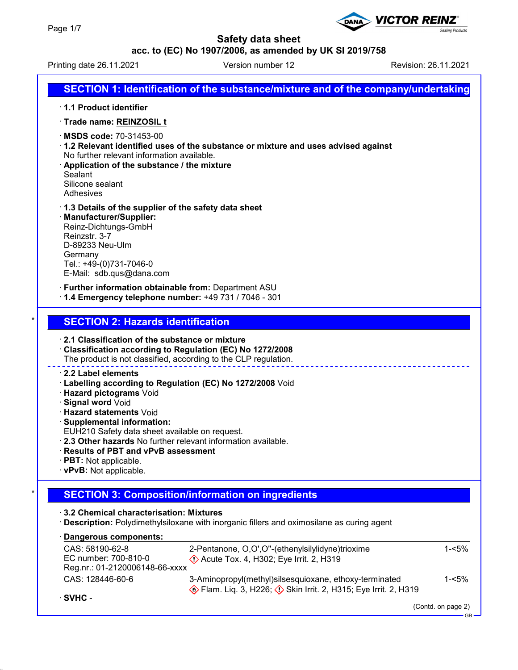

DANA

**acc. to (EC) No 1907/2006, as amended by UK SI 2019/758**

Printing date 26.11.2021 Version number 12 Revision: 26.11.2021

**Sealing Products** 

**VICTOR REINZ®** 

|                                                                                                                                                                                                                                                                                                                                                                                                                                                                                                                                                                                                      | SECTION 1: Identification of the substance/mixture and of the company/undertaking                                                                                                                                                                   |  |  |  |
|------------------------------------------------------------------------------------------------------------------------------------------------------------------------------------------------------------------------------------------------------------------------------------------------------------------------------------------------------------------------------------------------------------------------------------------------------------------------------------------------------------------------------------------------------------------------------------------------------|-----------------------------------------------------------------------------------------------------------------------------------------------------------------------------------------------------------------------------------------------------|--|--|--|
|                                                                                                                                                                                                                                                                                                                                                                                                                                                                                                                                                                                                      | 1.1 Product identifier                                                                                                                                                                                                                              |  |  |  |
|                                                                                                                                                                                                                                                                                                                                                                                                                                                                                                                                                                                                      | · Trade name: REINZOSIL t                                                                                                                                                                                                                           |  |  |  |
|                                                                                                                                                                                                                                                                                                                                                                                                                                                                                                                                                                                                      | MSDS code: 70-31453-00<br>1.2 Relevant identified uses of the substance or mixture and uses advised against<br>No further relevant information available.<br>Application of the substance / the mixture<br>Sealant<br>Silicone sealant<br>Adhesives |  |  |  |
|                                                                                                                                                                                                                                                                                                                                                                                                                                                                                                                                                                                                      | 1.3 Details of the supplier of the safety data sheet<br>· Manufacturer/Supplier:<br>Reinz-Dichtungs-GmbH<br>Reinzstr. 3-7<br>D-89233 Neu-Ulm<br>Germany<br>Tel.: +49-(0)731-7046-0<br>E-Mail: sdb.qus@dana.com                                      |  |  |  |
|                                                                                                                                                                                                                                                                                                                                                                                                                                                                                                                                                                                                      | · Further information obtainable from: Department ASU<br>1.4 Emergency telephone number: +49 731 / 7046 - 301                                                                                                                                       |  |  |  |
| *                                                                                                                                                                                                                                                                                                                                                                                                                                                                                                                                                                                                    | <b>SECTION 2: Hazards identification</b>                                                                                                                                                                                                            |  |  |  |
| 2.1 Classification of the substance or mixture<br>Classification according to Regulation (EC) No 1272/2008<br>The product is not classified, according to the CLP regulation.<br>2.2 Label elements<br>Labelling according to Regulation (EC) No 1272/2008 Void<br>· Hazard pictograms Void<br>· Signal word Void<br><b>· Hazard statements Void</b><br>· Supplemental information:<br>EUH210 Safety data sheet available on request.<br>. 2.3 Other hazards No further relevant information available.<br>· Results of PBT and vPvB assessment<br>· PBT: Not applicable.<br>· vPvB: Not applicable. |                                                                                                                                                                                                                                                     |  |  |  |
|                                                                                                                                                                                                                                                                                                                                                                                                                                                                                                                                                                                                      | <b>SECTION 3: Composition/information on ingredients</b>                                                                                                                                                                                            |  |  |  |
|                                                                                                                                                                                                                                                                                                                                                                                                                                                                                                                                                                                                      | 3.2 Chemical characterisation: Mixtures<br>· Description: Polydimethylsiloxane with inorganic fillers and oximosilane as curing agent                                                                                                               |  |  |  |
|                                                                                                                                                                                                                                                                                                                                                                                                                                                                                                                                                                                                      | Dangerous components:                                                                                                                                                                                                                               |  |  |  |
|                                                                                                                                                                                                                                                                                                                                                                                                                                                                                                                                                                                                      | $1 - 5%$<br>CAS: 58190-62-8<br>2-Pentanone, O,O',O"-(ethenylsilylidyne)trioxime<br>EC number: 700-810-0<br>$\Diamond$ Acute Tox. 4, H302; Eye Irrit. 2, H319<br>Reg.nr.: 01-2120006148-66-xxxx                                                      |  |  |  |
|                                                                                                                                                                                                                                                                                                                                                                                                                                                                                                                                                                                                      | CAS: 128446-60-6<br>3-Aminopropyl(methyl)silsesquioxane, ethoxy-terminated<br>$1 - 5%$<br>Flam. Liq. 3, H226; $\Diamond$ Skin Irrit. 2, H315; Eye Irrit. 2, H319                                                                                    |  |  |  |
|                                                                                                                                                                                                                                                                                                                                                                                                                                                                                                                                                                                                      | $\cdot$ SVHC -<br>(Contd. on page 2)                                                                                                                                                                                                                |  |  |  |
|                                                                                                                                                                                                                                                                                                                                                                                                                                                                                                                                                                                                      | - GB                                                                                                                                                                                                                                                |  |  |  |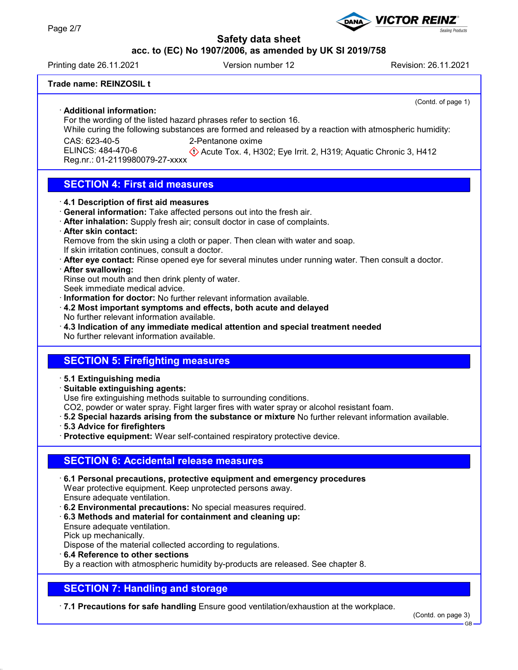## **acc. to (EC) No 1907/2006, as amended by UK SI 2019/758**

Printing date 26.11.2021 Version number 12 Revision: 26.11.2021

**VICTOR REINZ** 

(Contd. of page 1)

ealing Products

## **Trade name: REINZOSIL t**

· **Additional information:**

For the wording of the listed hazard phrases refer to section 16.

While curing the following substances are formed and released by a reaction with atmospheric humidity:

CAS: 623-40-5

2-Pentanone oxime

ELINCS: 484-470-6 Reg.nr.: 01-2119980079-27-xxxx Acute Tox. 4, H302; Eye Irrit. 2, H319; Aquatic Chronic 3, H412

# **SECTION 4: First aid measures**

## · **4.1 Description of first aid measures**

- · **General information:** Take affected persons out into the fresh air.
- · **After inhalation:** Supply fresh air; consult doctor in case of complaints.
- · **After skin contact:**

Remove from the skin using a cloth or paper. Then clean with water and soap.

If skin irritation continues, consult a doctor.

· **After eye contact:** Rinse opened eye for several minutes under running water. Then consult a doctor.

## · **After swallowing:**

Rinse out mouth and then drink plenty of water.

Seek immediate medical advice.

· **Information for doctor:** No further relevant information available.

- · **4.2 Most important symptoms and effects, both acute and delayed** No further relevant information available.
- · **4.3 Indication of any immediate medical attention and special treatment needed** No further relevant information available.

# **SECTION 5: Firefighting measures**

## · **5.1 Extinguishing media**

· **Suitable extinguishing agents:**

Use fire extinguishing methods suitable to surrounding conditions.

CO2, powder or water spray. Fight larger fires with water spray or alcohol resistant foam.

- · **5.2 Special hazards arising from the substance or mixture** No further relevant information available.
- · **5.3 Advice for firefighters**
- · **Protective equipment:** Wear self-contained respiratory protective device.

# **SECTION 6: Accidental release measures**

- · **6.1 Personal precautions, protective equipment and emergency procedures** Wear protective equipment. Keep unprotected persons away. Ensure adequate ventilation.
- · **6.2 Environmental precautions:** No special measures required.
- · **6.3 Methods and material for containment and cleaning up:**

Ensure adequate ventilation. Pick up mechanically.

Dispose of the material collected according to regulations.

· **6.4 Reference to other sections**

By a reaction with atmospheric humidity by-products are released. See chapter 8.

# **SECTION 7: Handling and storage**

· **7.1 Precautions for safe handling** Ensure good ventilation/exhaustion at the workplace.

(Contd. on page 3)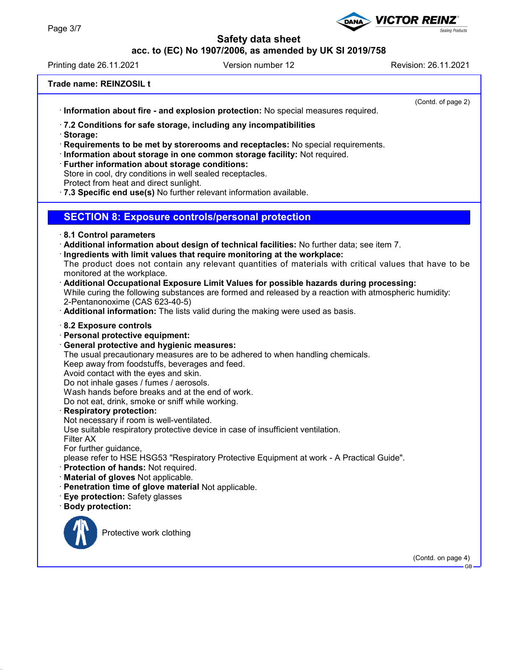# **acc. to (EC) No 1907/2006, as amended by UK SI 2019/758**

Printing date 26.11.2021 Version number 12 Revision: 26.11.2021

**VICTOR REINZ** 

· **Information about fire - and explosion protection:** No special measures required.

(Contd. of page 2)

**Sealing Products** 

· **7.2 Conditions for safe storage, including any incompatibilities**

· **Storage:**

· **Requirements to be met by storerooms and receptacles:** No special requirements.

· **Information about storage in one common storage facility:** Not required.

· **Further information about storage conditions:**

Store in cool, dry conditions in well sealed receptacles.

Protect from heat and direct sunlight.

· **7.3 Specific end use(s)** No further relevant information available.

## **SECTION 8: Exposure controls/personal protection**

- · **8.1 Control parameters**
- · **Additional information about design of technical facilities:** No further data; see item 7.
- · **Ingredients with limit values that require monitoring at the workplace:**

The product does not contain any relevant quantities of materials with critical values that have to be monitored at the workplace.

- · **Additional Occupational Exposure Limit Values for possible hazards during processing:** While curing the following substances are formed and released by a reaction with atmospheric humidity: 2-Pentanonoxime (CAS 623-40-5)
- · **Additional information:** The lists valid during the making were used as basis.

## · **8.2 Exposure controls**

- · **Personal protective equipment:**
- · **General protective and hygienic measures:**

The usual precautionary measures are to be adhered to when handling chemicals.

Keep away from foodstuffs, beverages and feed.

Avoid contact with the eyes and skin.

Do not inhale gases / fumes / aerosols.

Wash hands before breaks and at the end of work.

Do not eat, drink, smoke or sniff while working.

## · **Respiratory protection:**

Not necessary if room is well-ventilated.

Use suitable respiratory protective device in case of insufficient ventilation.

Filter AX

For further guidance,

please refer to HSE HSG53 "Respiratory Protective Equipment at work - A Practical Guide".

- · **Protection of hands:** Not required.
- · **Material of gloves** Not applicable.
- · **Penetration time of glove material** Not applicable.
- · **Eye protection:** Safety glasses
- · **Body protection:**



Protective work clothing

(Contd. on page 4) GB

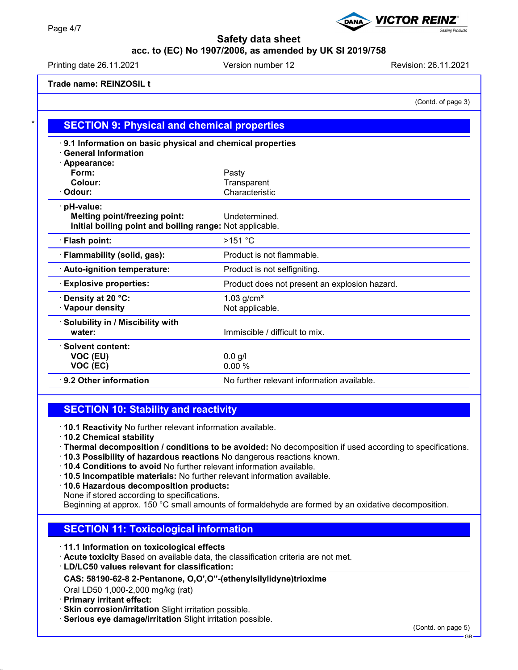# **acc. to (EC) No 1907/2006, as amended by UK SI 2019/758**

Printing date 26.11.2021 **Version number 12** Revision: 26.11.2021

**VICTOR REINZ®** 

**Trade name: REINZOSIL t**

(Contd. of page 3)

**Sealing Products** 

| 9.1 Information on basic physical and chemical properties |                                               |  |  |
|-----------------------------------------------------------|-----------------------------------------------|--|--|
| <b>General Information</b>                                |                                               |  |  |
| · Appearance:                                             |                                               |  |  |
| Form:                                                     | Pasty                                         |  |  |
| Colour:                                                   | Transparent                                   |  |  |
| Odour:                                                    | Characteristic                                |  |  |
| · pH-value:                                               |                                               |  |  |
| <b>Melting point/freezing point:</b>                      | Undetermined.                                 |  |  |
| Initial boiling point and boiling range: Not applicable.  |                                               |  |  |
| · Flash point:                                            | $>151$ °C                                     |  |  |
| · Flammability (solid, gas):                              | Product is not flammable.                     |  |  |
| · Auto-ignition temperature:                              | Product is not selfigniting.                  |  |  |
| <b>Explosive properties:</b>                              | Product does not present an explosion hazard. |  |  |
| Density at 20 °C:                                         | $1.03$ g/cm <sup>3</sup>                      |  |  |
| · Vapour density                                          | Not applicable.                               |  |  |
| · Solubility in / Miscibility with                        |                                               |  |  |
| water:                                                    | Immiscible / difficult to mix.                |  |  |
| · Solvent content:                                        |                                               |  |  |
| VOC (EU)                                                  | $0.0$ g/l                                     |  |  |
| VOC (EC)                                                  | 0.00%                                         |  |  |
| 9.2 Other information                                     | No further relevant information available.    |  |  |

# **SECTION 10: Stability and reactivity**

· **10.1 Reactivity** No further relevant information available.

- · **10.2 Chemical stability**
- · **Thermal decomposition / conditions to be avoided:** No decomposition if used according to specifications.
- · **10.3 Possibility of hazardous reactions** No dangerous reactions known.
- · **10.4 Conditions to avoid** No further relevant information available.
- · **10.5 Incompatible materials:** No further relevant information available.
- · **10.6 Hazardous decomposition products:**

None if stored according to specifications.

Beginning at approx. 150 °C small amounts of formaldehyde are formed by an oxidative decomposition.

# **SECTION 11: Toxicological information**

- · **11.1 Information on toxicological effects**
- · **Acute toxicity** Based on available data, the classification criteria are not met.
- **LD/LC50 values relevant for classification:** ·

## **CAS: 58190-62-8 2-Pentanone, O,O',O''-(ethenylsilylidyne)trioxime**

Oral LD50 1,000-2,000 mg/kg (rat)

- · **Primary irritant effect:**
- · **Skin corrosion/irritation** Slight irritation possible.
- · **Serious eye damage/irritation** Slight irritation possible.

GB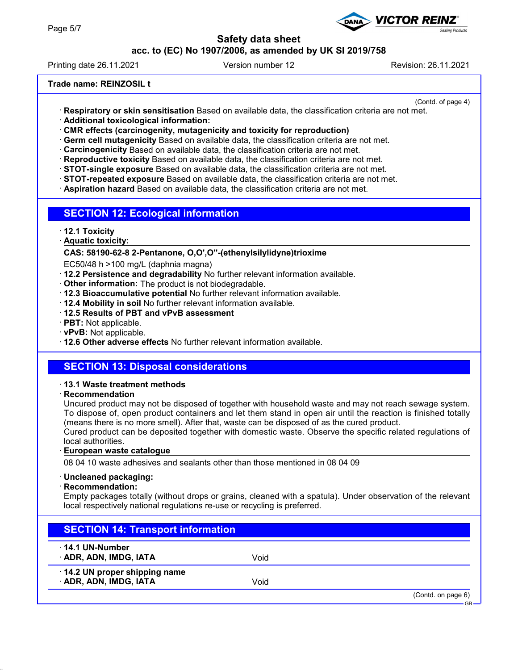# **acc. to (EC) No 1907/2006, as amended by UK SI 2019/758**

Printing date 26.11.2021 Version number 12 Revision: 26.11.2021

## **Trade name: REINZOSIL t**

(Contd. of page 4)

**Sealing Products** 

- · **Respiratory or skin sensitisation** Based on available data, the classification criteria are not met. · **Additional toxicological information:**
- · **CMR effects (carcinogenity, mutagenicity and toxicity for reproduction)**
- · **Germ cell mutagenicity** Based on available data, the classification criteria are not met.
- · **Carcinogenicity** Based on available data, the classification criteria are not met.
- · **Reproductive toxicity** Based on available data, the classification criteria are not met.
- · **STOT-single exposure** Based on available data, the classification criteria are not met.
- · **STOT-repeated exposure** Based on available data, the classification criteria are not met.
- · **Aspiration hazard** Based on available data, the classification criteria are not met.

## **SECTION 12: Ecological information**

- · **12.1 Toxicity**
- **Aquatic toxicity:** ·

#### **CAS: 58190-62-8 2-Pentanone, O,O',O''-(ethenylsilylidyne)trioxime**

EC50/48 h >100 mg/L (daphnia magna)

- · **12.2 Persistence and degradability** No further relevant information available.
- · **Other information:** The product is not biodegradable.
- · **12.3 Bioaccumulative potential** No further relevant information available.
- · **12.4 Mobility in soil** No further relevant information available.
- · **12.5 Results of PBT and vPvB assessment**
- · **PBT:** Not applicable.
- · **vPvB:** Not applicable.
- · **12.6 Other adverse effects** No further relevant information available.

## **SECTION 13: Disposal considerations**

#### · **13.1 Waste treatment methods**

· **Recommendation**

Uncured product may not be disposed of together with household waste and may not reach sewage system. To dispose of, open product containers and let them stand in open air until the reaction is finished totally (means there is no more smell). After that, waste can be disposed of as the cured product.

Cured product can be deposited together with domestic waste. Observe the specific related regulations of local authorities.

#### **European waste catalogue** ·

08 04 10 waste adhesives and sealants other than those mentioned in 08 04 09

#### · **Uncleaned packaging:**

· **Recommendation:**

Empty packages totally (without drops or grains, cleaned with a spatula). Under observation of the relevant local respectively national regulations re-use or recycling is preferred.

# **SECTION 14: Transport information**

- · **14.1 UN-Number**
- · **ADR, ADN, IMDG, IATA** Void

## · **14.2 UN proper shipping name**

· **ADR, ADN, IMDG, IATA** Void

(Contd. on page 6)

GB

**VICTOR REINZ**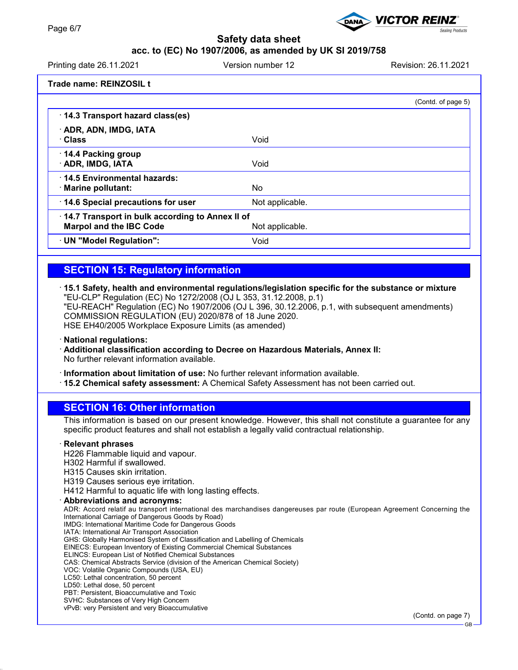# **acc. to (EC) No 1907/2006, as amended by UK SI 2019/758**

Printing date 26.11.2021 Version number 12 Revision: 26.11.2021 **Trade name: REINZOSIL t** (Contd. of page 5)

| 14.3 Transport hazard class(es)                                                   |                 |  |
|-----------------------------------------------------------------------------------|-----------------|--|
| · ADR, ADN, IMDG, IATA<br>∴Class                                                  | Void            |  |
| 14.4 Packing group<br>· ADR, IMDG, IATA                                           | Void            |  |
| 14.5 Environmental hazards:<br>· Marine pollutant:                                | No              |  |
| 14.6 Special precautions for user                                                 | Not applicable. |  |
| 14.7 Transport in bulk according to Annex II of<br><b>Marpol and the IBC Code</b> | Not applicable. |  |
| · UN "Model Regulation":                                                          | Void            |  |

# **SECTION 15: Regulatory information**

· **15.1 Safety, health and environmental regulations/legislation specific for the substance or mixture** "EU-CLP" Regulation (EC) No 1272/2008 (OJ L 353, 31.12.2008, p.1) "EU-REACH" Regulation (EC) No 1907/2006 (OJ L 396, 30.12.2006, p.1, with subsequent amendments) COMMISSION REGULATION (EU) 2020/878 of 18 June 2020. HSE EH40/2005 Workplace Exposure Limits (as amended)

· **National regulations:**

· **Additional classification according to Decree on Hazardous Materials, Annex II:** No further relevant information available.

· **Information about limitation of use:** No further relevant information available.

· **15.2 Chemical safety assessment:** A Chemical Safety Assessment has not been carried out.

# **SECTION 16: Other information**

This information is based on our present knowledge. However, this shall not constitute a guarantee for any specific product features and shall not establish a legally valid contractual relationship.

## · **Relevant phrases**

H226 Flammable liquid and vapour.

- H302 Harmful if swallowed.
- H315 Causes skin irritation.
- H319 Causes serious eye irritation.

H412 Harmful to aquatic life with long lasting effects.

- · **Abbreviations and acronyms:** ADR: Accord relatif au transport international des marchandises dangereuses par route (European Agreement Concerning the
- International Carriage of Dangerous Goods by Road)
- IMDG: International Maritime Code for Dangerous Goods IATA: International Air Transport Association
- GHS: Globally Harmonised System of Classification and Labelling of Chemicals
- EINECS: European Inventory of Existing Commercial Chemical Substances
- ELINCS: European List of Notified Chemical Substances
- CAS: Chemical Abstracts Service (division of the American Chemical Society)
- VOC: Volatile Organic Compounds (USA, EU)
- LC50: Lethal concentration, 50 percent
- LD50: Lethal dose, 50 percent
- PBT: Persistent, Bioaccumulative and Toxic
- SVHC: Substances of Very High Concern vPvB: very Persistent and very Bioaccumulative



GB